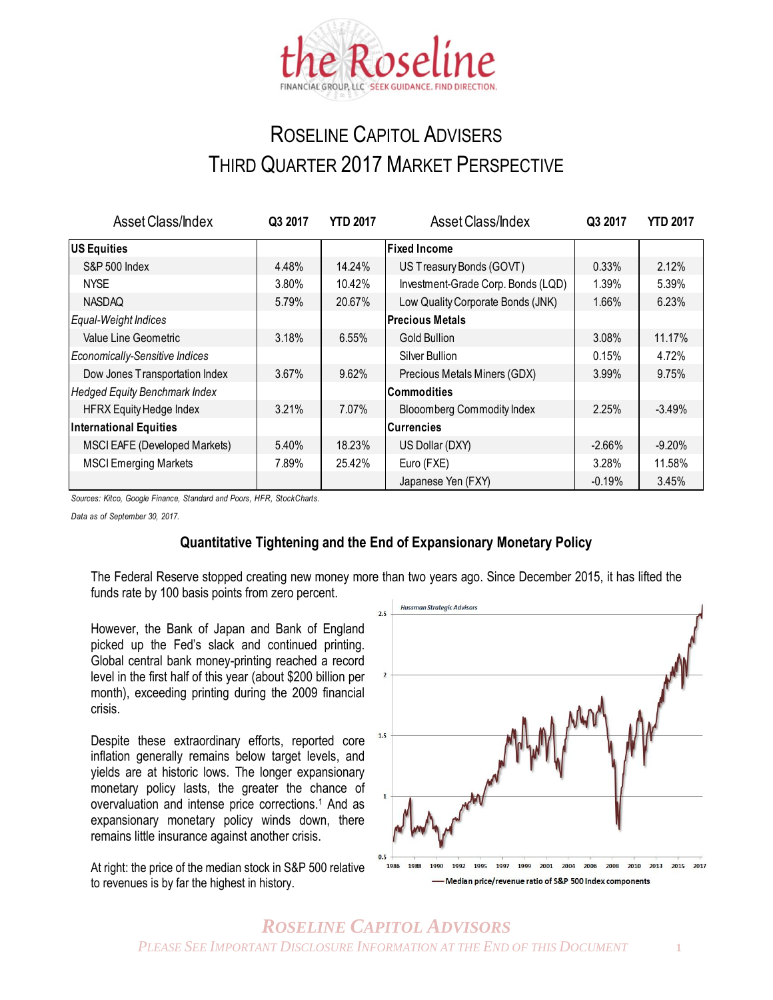

## ROSELINE CAPITOL ADVISERS THIRD QUARTER 2017 MARKET PERSPECTIVE

| <b>Asset Class/Index</b>             | Q3 2017 | <b>YTD 2017</b> | Asset Class/Index                  | Q3 2017   | <b>YTD 2017</b> |
|--------------------------------------|---------|-----------------|------------------------------------|-----------|-----------------|
| US Equities                          |         |                 | <b>Fixed Income</b>                |           |                 |
| <b>S&amp;P 500 Index</b>             | 4.48%   | 14.24%          | US Treasury Bonds (GOVT)           | 0.33%     | 2.12%           |
| <b>NYSE</b>                          | 3.80%   | 10.42%          | Investment-Grade Corp. Bonds (LQD) | 1.39%     | 5.39%           |
| <b>NASDAQ</b>                        | 5.79%   | 20.67%          | Low Quality Corporate Bonds (JNK)  | 1.66%     | 6.23%           |
| Equal-Weight Indices                 |         |                 | <b>Precious Metals</b>             |           |                 |
| Value Line Geometric                 | 3.18%   | $6.55\%$        | <b>Gold Bullion</b>                | 3.08%     | 11.17%          |
| Economically-Sensitive Indices       |         |                 | Silver Bullion                     | 0.15%     | 4.72%           |
| Dow Jones Transportation Index       | 3.67%   | 9.62%           | Precious Metals Miners (GDX)       | 3.99%     | 9.75%           |
| <b>Hedged Equity Benchmark Index</b> |         |                 | <b>Commodities</b>                 |           |                 |
| <b>HFRX Equity Hedge Index</b>       | 3.21%   | 7.07%           | <b>Blooomberg Commodity Index</b>  | 2.25%     | $-3.49%$        |
| <b>International Equities</b>        |         |                 | <b>Currencies</b>                  |           |                 |
| MSCI EAFE (Developed Markets)        | 5.40%   | 18.23%          | US Dollar (DXY)                    | $-2.66\%$ | $-9.20%$        |
| <b>MSCI Emerging Markets</b>         | 7.89%   | 25.42%          | Euro (FXE)                         | 3.28%     | 11.58%          |
|                                      |         |                 | Japanese Yen (FXY)                 | $-0.19%$  | 3.45%           |

*Sources: Kitco, Google Finance, Standard and Poors, HFR, StockCharts.*

*Data as of September 30, 2017.*

## **Quantitative Tightening and the End of Expansionary Monetary Policy**

The Federal Reserve stopped creating new money more than two years ago. Since December 2015, it has lifted the funds rate by 100 basis points from zero percent.

However, the Bank of Japan and Bank of England picked up the Fed's slack and continued printing. Global central bank money-printing reached a record level in the first half of this year (about \$200 billion per month), exceeding printing during the 2009 financial crisis.

Despite these extraordinary efforts, reported core inflation generally remains below target levels, and yields are at historic lows. The longer expansionary monetary policy lasts, the greater the chance of overvaluation and intense price corrections.<sup>1</sup> And as expansionary monetary policy winds down, there remains little insurance against another crisis.

At right: the price of the median stock in S&P 500 relative to revenues is by far the highest in history.

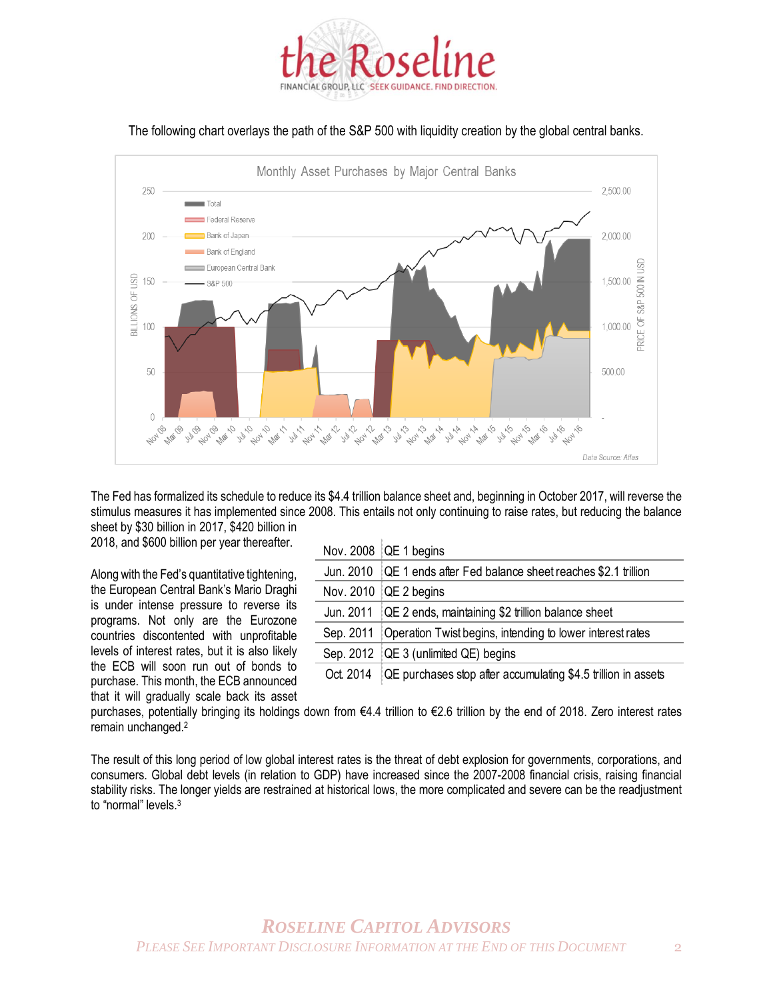

The following chart overlays the path of the S&P 500 with liquidity creation by the global central banks.



The Fed has formalized its schedule to reduce its \$4.4 trillion balance sheet and, beginning in October 2017, will reverse the stimulus measures it has implemented since 2008. This entails not only continuing to raise rates, but reducing the balance sheet by \$30 billion in 2017, \$420 billion in

2018, and \$600 billion per year thereafter.

Along with the Fed's quantitative tightening, the European Central Bank's Mario Draghi is under intense pressure to reverse its programs. Not only are the Eurozone countries discontented with unprofitable levels of interest rates, but it is also likely the ECB will soon run out of bonds to purchase. This month, the ECB announced that it will gradually scale back its asset

|           | Nov. 2008 $[QE 1$ begins                                           |
|-----------|--------------------------------------------------------------------|
|           | Jun. 2010 QE 1 ends after Fed balance sheet reaches \$2.1 trillion |
|           | Nov. 2010 $[QE 2$ begins                                           |
| Jun. 2011 | QE 2 ends, maintaining \$2 trillion balance sheet                  |
| Sep. 2011 | Operation Twist begins, intending to lower interest rates          |
| Sep. 2012 | QE 3 (unlimited QE) begins                                         |
| Oct. 2014 | QE purchases stop after accumulating \$4.5 trillion in assets      |

purchases, potentially bringing its holdings down from €4.4 trillion to €2.6 trillion by the end of 2018. Zero interest rates remain unchanged.<sup>2</sup>

The result of this long period of low global interest rates is the threat of debt explosion for governments, corporations, and consumers. Global debt levels (in relation to GDP) have increased since the 2007-2008 financial crisis, raising financial stability risks. The longer yields are restrained at historical lows, the more complicated and severe can be the readjustment to "normal" levels.<sup>3</sup>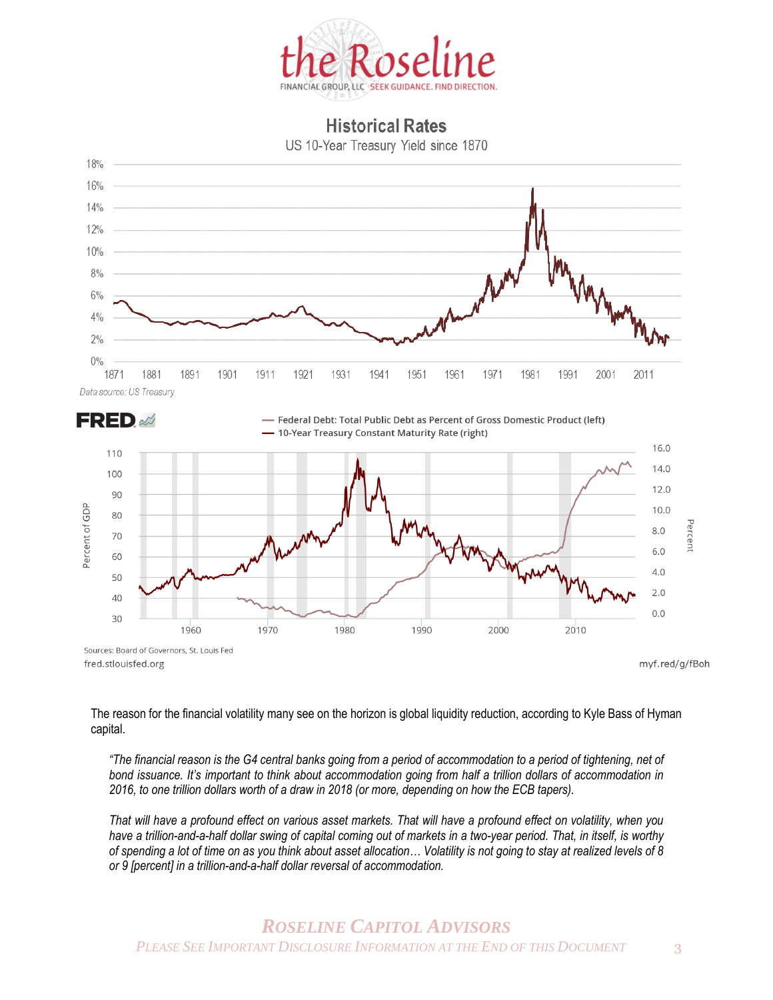

## **Historical Rates**

US 10-Year Treasury Yield since 1870





The reason for the financial volatility many see on the horizon is global liquidity reduction, according to Kyle Bass of Hyman capital.

*"The financial reason is the G4 central banks going from a period of accommodation to a period of tightening, net of bond issuance. It's important to think about accommodation going from half a trillion dollars of accommodation in 2016, to one trillion dollars worth of a draw in 2018 (or more, depending on how the ECB tapers).* 

*That will have a profound effect on various asset markets. That will have a profound effect on volatility, when you have a trillion-and-a-half dollar swing of capital coming out of markets in a two-year period. That, in itself, is worthy of spending a lot of time on as you think about asset allocation… Volatility is not going to stay at realized levels of 8 or 9 [percent] in a trillion-and-a-half dollar reversal of accommodation.*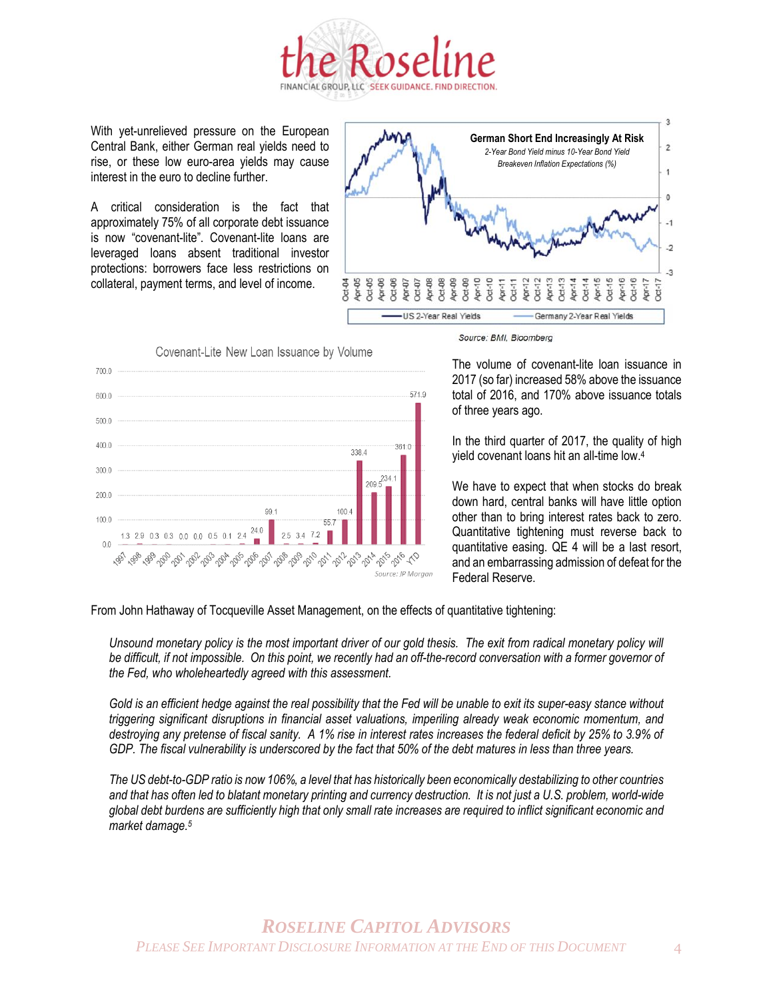

With yet-unrelieved pressure on the European Central Bank, either German real yields need to rise, or these low euro-area yields may cause interest in the euro to decline further.

A critical consideration is the fact that approximately 75% of all corporate debt issuance is now "covenant-lite". Covenant-lite loans are leveraged loans absent traditional investor protections: borrowers face less restrictions on collateral, payment terms, and level of income.



 $7000$ 571.9 600.0  $500.0$  $4000$  $361.0$ 338.4  $3000$  $209.5$  $200.0$ 991  $100<sub>4</sub>$  $1000$ 557  $2\Lambda$ 1.3 2.9 0.3 0.3 0.0 0.0  $34$  $00$ *<sup>5</sup>04 <sup>5</sup>02</sub> <sup>50</sup>0 <sup>50</sup> <sup>50</sup>0 <sup>50</sup>* **DO** 

Covenant-Lite New Loan Issuance by Volume

Source: BMI, Bloomberg

The volume of covenant-lite loan issuance in 2017 (so far) increased 58% above the issuance total of 2016, and 170% above issuance totals of three years ago.

In the third quarter of 2017, the quality of high yield covenant loans hit an all-time low.<sup>4</sup>

We have to expect that when stocks do break down hard, central banks will have little option other than to bring interest rates back to zero. Quantitative tightening must reverse back to quantitative easing. QE 4 will be a last resort, and an embarrassing admission of defeat for the Federal Reserve.

From John Hathaway of Tocqueville Asset Management, on the effects of quantitative tightening:

Unsound monetary policy is the most important driver of our gold thesis. The exit from radical monetary policy will *be difficult, if not impossible. On this point, we recently had an off-the-record conversation with a former governor of the Fed, who wholeheartedly agreed with this assessment.*

*Gold is an efficient hedge against the real possibility that the Fed will be unable to exit its super-easy stance without triggering significant disruptions in financial asset valuations, imperiling already weak economic momentum, and destroying any pretense of fiscal sanity. A 1% rise in interest rates increases the federal deficit by 25% to 3.9% of GDP. The fiscal vulnerability is underscored by the fact that 50% of the debt matures in less than three years.*

*The US debt-to-GDP ratio is now 106%, a level that has historically been economically destabilizing to other countries and that has often led to blatant monetary printing and currency destruction. It is not just a U.S. problem, world-wide global debt burdens are sufficiently high that only small rate increases are required to inflict significant economic and market damage.<sup>5</sup>*